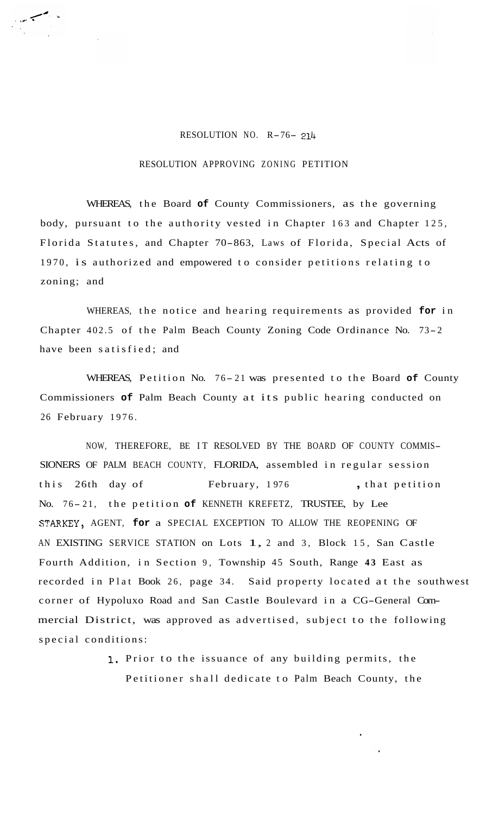## RESOLUTION NO. R-76- <sup>214</sup>

## RESOLUTION APPROVING ZONING PETITION

WHEREAS, the Board **of** County Commissioners, as the governing body, pursuant to the authority vested in Chapter 163 and Chapter 125, Florida Statutes, and Chapter 70-863, Laws of Florida, Special Acts of 1970, is authorized and empowered to consider petitions relating to zoning; and

WHEREAS, the notice and hearing requirements as provided **for** in Chapter 402.5 of the Palm Beach County Zoning Code Ordinance No. 73- <sup>2</sup> have been satisfied; and

WHEREAS, Petition No. 76-21 was presented to the Board of County Commissioners **of** Palm Beach County at its public hearing conducted on 26 February 1976.

NOW, THEREFORE, BE IT RESOLVED BY THE BOARD OF COUNTY COMMIS-SIONERS OF PALM BEACH COUNTY, FLORIDA, assembled in regular session this 26th day of February, 1976, that petition No. 76-21, the petition of KENNETH KREFETZ, TRUSTEE, by Lee STARKEY, AGENT, **for** a SPECIAL EXCEPTION TO ALLOW THE REOPENING OF AN EXISTING SERVICE STATION on Lots 1, 2 and 3, Block 15, San Castle Fourth Addition, in Section 9, Township 45 South, Range **43** East as recorded in Plat Book 26, page 34. Said property located at the southwest corner of Hypoluxo Road and San Castle Boulevard in a CG-General Commercial District, was approved as advertised, subject to the following special conditions:

> 1. Prior to the issuance of any building permits, the Petitioner shall dedicate to Palm Beach County, the